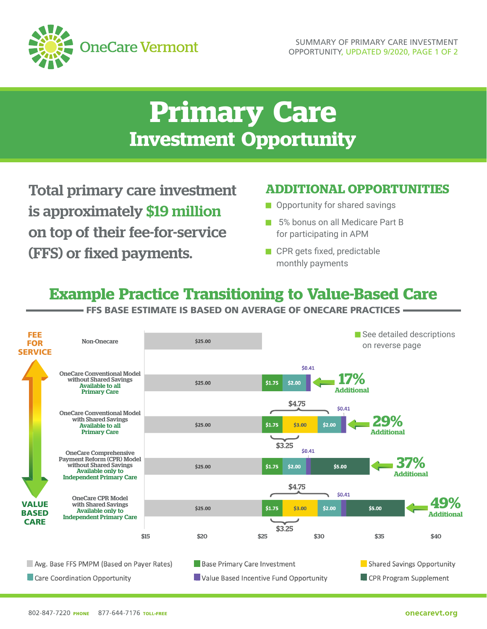

# **Primary Care Investment Opportunity**

Total primary care investment is approximately \$19 million on top of their fee-for-service (FFS) or fixed payments.

**OneCare Vermont** 

#### **ADDITIONAL OPPORTUNITIES**

- **Deportunity for shared savings**
- **J** 5% bonus on all Medicare Part B for participating in APM
- $\blacksquare$  CPR gets fixed, predictable monthly payments

### **Example Practice Transitioning to Value-Based Care**

FFS BASE ESTIMATE IS BASED ON AVERAGE OF ONECARE PRACTICES